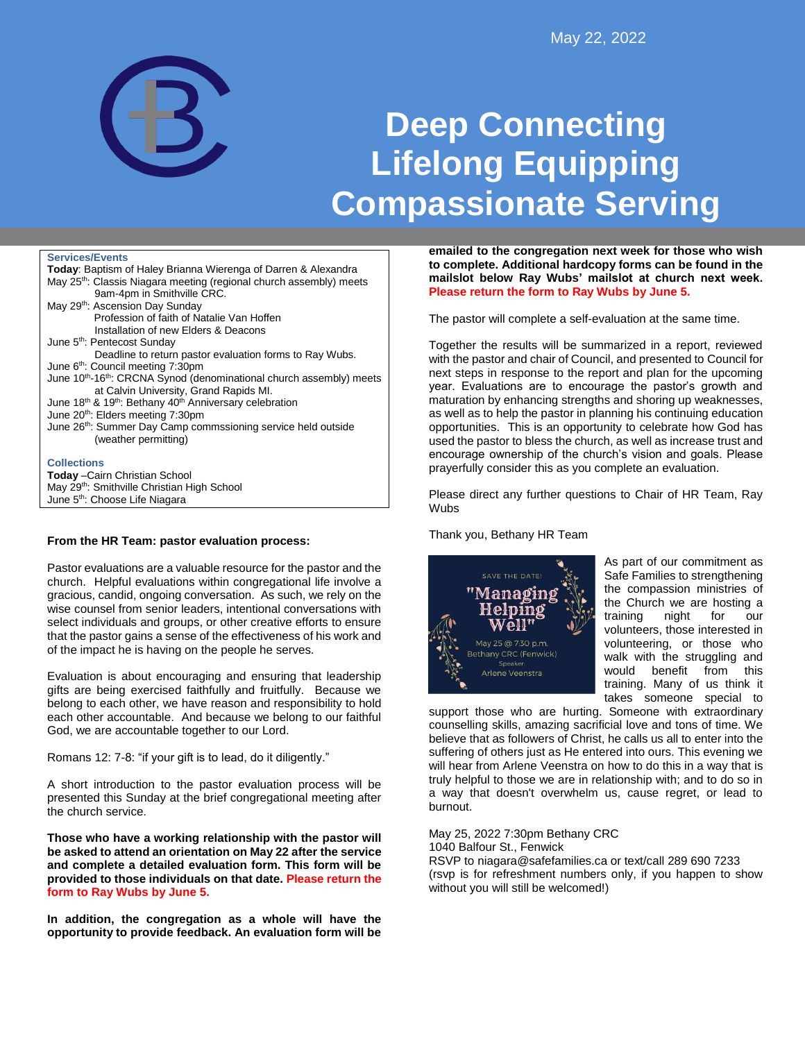

# **Deep Connecting Lifelong Equipping Compassionate Serving**

#### **Services/Events**

| <b>Today: Baptism of Haley Brianna Wierenga of Darren &amp; Alexandra</b>                    |
|----------------------------------------------------------------------------------------------|
| May 25 <sup>th</sup> : Classis Niagara meeting (regional church assembly) meets              |
| 9am-4pm in Smithville CRC.                                                                   |
| May 29 <sup>th</sup> : Ascension Day Sunday                                                  |
| Profession of faith of Natalie Van Hoffen                                                    |
| Installation of new Elders & Deacons                                                         |
| June 5th: Pentecost Sunday                                                                   |
| Deadline to return pastor evaluation forms to Ray Wubs.                                      |
| June 6 <sup>th</sup> : Council meeting 7:30pm                                                |
| June 10 <sup>th</sup> -16 <sup>th</sup> : CRCNA Synod (denominational church assembly) meets |
| at Calvin University, Grand Rapids MI.                                                       |
| June 18 <sup>th</sup> & 19 <sup>th</sup> : Bethany 40 <sup>th</sup> Anniversary celebration  |
| June 20 <sup>th</sup> : Elders meeting 7:30pm                                                |
| June 26th: Summer Day Camp commssioning service held outside                                 |
| (weather permitting)                                                                         |
| <b>Collections</b>                                                                           |
|                                                                                              |
| <b>Today</b> - Cairn Christian School                                                        |
| May 29 <sup>th</sup> : Smithville Christian High School                                      |
| June 5 <sup>th</sup> : Choose Life Niagara                                                   |

## **From the HR Team: pastor evaluation process:**

Pastor evaluations are a valuable resource for the pastor and the church. Helpful evaluations within congregational life involve a gracious, candid, ongoing conversation. As such, we rely on the wise counsel from senior leaders, intentional conversations with select individuals and groups, or other creative efforts to ensure that the pastor gains a sense of the effectiveness of his work and of the impact he is having on the people he serves.

Evaluation is about encouraging and ensuring that leadership gifts are being exercised faithfully and fruitfully. Because we belong to each other, we have reason and responsibility to hold each other accountable. And because we belong to our faithful God, we are accountable together to our Lord.

Romans 12: 7-8: "if your gift is to lead, do it diligently."

A short introduction to the pastor evaluation process will be presented this Sunday at the brief congregational meeting after the church service.

**Those who have a working relationship with the pastor will be asked to attend an orientation on May 22 after the service and complete a detailed evaluation form. This form will be provided to those individuals on that date. Please return the form to Ray Wubs by June 5.**

**In addition, the congregation as a whole will have the opportunity to provide feedback. An evaluation form will be**  **emailed to the congregation next week for those who wish to complete. Additional hardcopy forms can be found in the mailslot below Ray Wubs' mailslot at church next week. Please return the form to Ray Wubs by June 5.**

The pastor will complete a self-evaluation at the same time.

Together the results will be summarized in a report, reviewed with the pastor and chair of Council, and presented to Council for next steps in response to the report and plan for the upcoming year. Evaluations are to encourage the pastor's growth and maturation by enhancing strengths and shoring up weaknesses, as well as to help the pastor in planning his continuing education opportunities. This is an opportunity to celebrate how God has used the pastor to bless the church, as well as increase trust and encourage ownership of the church's vision and goals. Please prayerfully consider this as you complete an evaluation.

Please direct any further questions to Chair of HR Team, Ray **Wubs** 

Thank you, Bethany HR Team



As part of our commitment as Safe Families to strengthening the compassion ministries of the Church we are hosting a training night for our volunteers, those interested in volunteering, or those who walk with the struggling and would benefit from this training. Many of us think it takes someone special to

support those who are hurting. Someone with extraordinary counselling skills, amazing sacrificial love and tons of time. We believe that as followers of Christ, he calls us all to enter into the suffering of others just as He entered into ours. This evening we will hear from Arlene Veenstra on how to do this in a way that is truly helpful to those we are in relationship with; and to do so in a way that doesn't overwhelm us, cause regret, or lead to burnout.

May 25, 2022 7:30pm Bethany CRC 1040 Balfour St., Fenwick RSVP to niagara@safefamilies.ca or text/call 289 690 7233 (rsvp is for refreshment numbers only, if you happen to show without you will still be welcomed!)